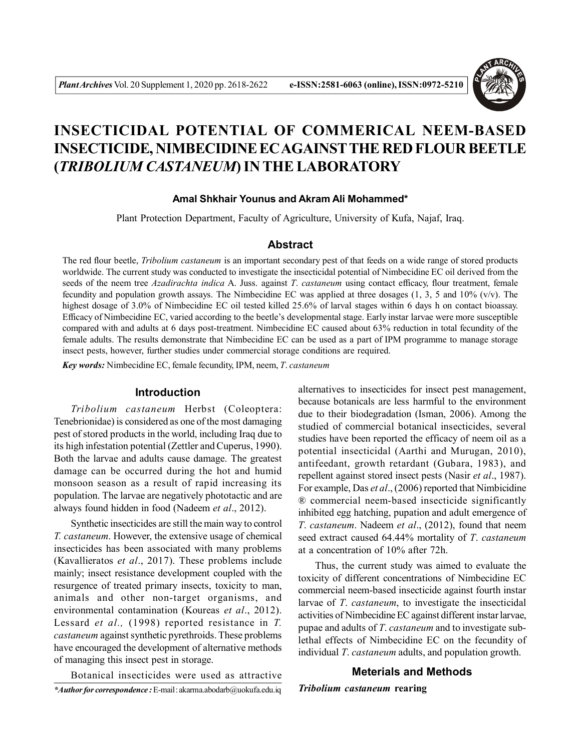

# **INSECTICIDAL POTENTIAL OF COMMERICAL NEEM-BASED INSECTICIDE, NIMBECIDINE EC AGAINSTTHE RED FLOUR BEETLE (***TRIBOLIUM CASTANEUM***) IN THE LABORATORY**

### **Amal Shkhair Younus and Akram Ali Mohammed\***

Plant Protection Department, Faculty of Agriculture, University of Kufa, Najaf, Iraq.

# **Abstract**

The red flour beetle, *Tribolium castaneum* is an important secondary pest of that feeds on a wide range of stored products worldwide. The current study was conducted to investigate the insecticidal potential of Nimbecidine EC oil derived from the seeds of the neem tree *Azadirachta indica* A. Juss. against *T*. *castaneum* using contact efficacy, flour treatment, female fecundity and population growth assays. The Nimbecidine EC was applied at three dosages  $(1, 3, 5, 5)$  and  $(10\% (v/v))$ . The highest dosage of 3.0% of Nimbecidine EC oil tested killed 25.6% of larval stages within 6 days h on contact bioassay. Efficacy of Nimbecidine EC, varied according to the beetle's developmental stage. Early instar larvae were more susceptible compared with and adults at 6 days post-treatment. Nimbecidine EC caused about 63% reduction in total fecundity of the female adults. The results demonstrate that Nimbecidine EC can be used as a part of IPM programme to manage storage insect pests, however, further studies under commercial storage conditions are required.

*Key words:* Nimbecidine EC, female fecundity, IPM, neem, *T*. *castaneum*

# **Introduction**

*Tribolium castaneum* Herbst (Coleoptera: Tenebrionidae) is considered as one of the most damaging pest of stored products in the world, including Iraq due to its high infestation potential (Zettler and Cuperus, 1990). Both the larvae and adults cause damage. The greatest damage can be occurred during the hot and humid monsoon season as a result of rapid increasing its population. The larvae are negatively phototactic and are always found hidden in food (Nadeem *et al*., 2012).

Synthetic insecticides are still the main way to control *T. castaneum*. However, the extensive usage of chemical insecticides has been associated with many problems (Kavallieratos *et al*., 2017). These problems include mainly; insect resistance development coupled with the resurgence of treated primary insects, toxicity to man, animals and other non-target organisms, and environmental contamination (Koureas *et al*., 2012). Lessard *et al.,* (1998) reported resistance in *T. castaneum* against synthetic pyrethroids. These problems have encouraged the development of alternative methods of managing this insect pest in storage.

Botanical insecticides were used as attractive *\*Author for correspondence :* E-mail : akarma.abodarb@uokufa.edu.iq alternatives to insecticides for insect pest management, because botanicals are less harmful to the environment due to their biodegradation (Isman, 2006). Among the studied of commercial botanical insecticides, several studies have been reported the efficacy of neem oil as a potential insecticidal (Aarthi and Murugan, 2010), antifeedant, growth retardant (Gubara, 1983), and repellent against stored insect pests (Nasir *et al*., 1987). For example, Das *et al*., (2006) reported that Nimbicidine ® commercial neem-based insecticide significantly inhibited egg hatching, pupation and adult emergence of *T*. *castaneum*. Nadeem *et al*., (2012), found that neem seed extract caused 64.44% mortality of *T*. *castaneum* at a concentration of 10% after 72h.

Thus, the current study was aimed to evaluate the toxicity of different concentrations of Nimbecidine EC commercial neem-based insecticide against fourth instar larvae of *T*. *castaneum*, to investigate the insecticidal activities of Nimbecidine EC against different instar larvae, pupae and adults of *T*. *castaneum* and to investigate sublethal effects of Nimbecidine EC on the fecundity of individual *T*. *castaneum* adults, and population growth.

#### **Meterials and Methods**

*Tribolium castaneum* **rearing**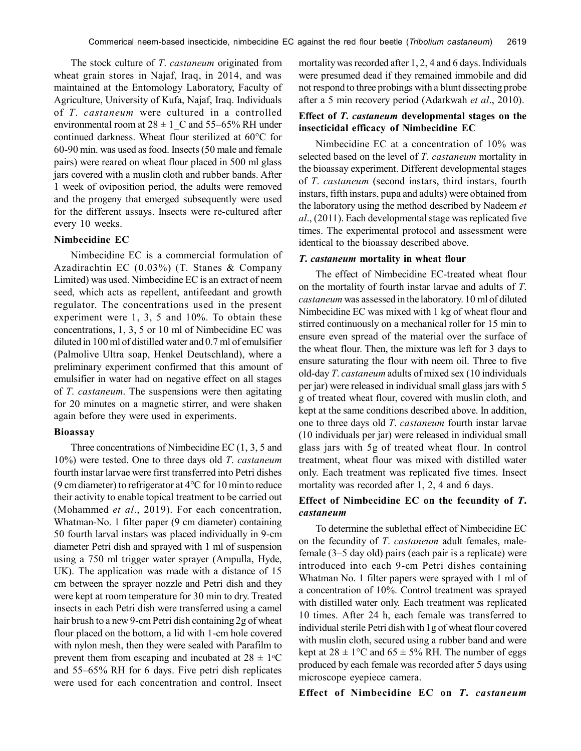The stock culture of *T*. *castaneum* originated from wheat grain stores in Najaf, Iraq, in 2014, and was maintained at the Entomology Laboratory, Faculty of Agriculture, University of Kufa, Najaf, Iraq. Individuals of *T*. *castaneum* were cultured in a controlled environmental room at  $28 \pm 1$  C and 55–65% RH under continued darkness. Wheat flour sterilized at 60°C for 60-90 min. was used as food. Insects (50 male and female pairs) were reared on wheat flour placed in 500 ml glass jars covered with a muslin cloth and rubber bands. After 1 week of oviposition period, the adults were removed and the progeny that emerged subsequently were used for the different assays. Insects were re-cultured after every 10 weeks.

#### **Nimbecidine EC**

Nimbecidine EC is a commercial formulation of Azadirachtin EC (0.03%) (T. Stanes & Company Limited) was used. Nimbecidine EC is an extract of neem seed, which acts as repellent, antifeedant and growth regulator. The concentrations used in the present experiment were 1, 3, 5 and 10%. To obtain these concentrations, 1, 3, 5 or 10 ml of Nimbecidine EC was diluted in 100 ml of distilled water and 0.7 ml of emulsifier (Palmolive Ultra soap, Henkel Deutschland), where a preliminary experiment confirmed that this amount of emulsifier in water had on negative effect on all stages of *T*. *castaneum*. The suspensions were then agitating for 20 minutes on a magnetic stirrer, and were shaken again before they were used in experiments.

#### **Bioassay**

Three concentrations of Nimbecidine EC (1, 3, 5 and 10%) were tested. One to three days old *T*. *castaneum* fourth instar larvae were first transferred into Petri dishes (9 cm diameter) to refrigerator at  $4^{\circ}$ C for 10 min to reduce their activity to enable topical treatment to be carried out (Mohammed *et al*., 2019). For each concentration, Whatman-No. 1 filter paper (9 cm diameter) containing 50 fourth larval instars was placed individually in 9-cm diameter Petri dish and sprayed with 1 ml of suspension using a 750 ml trigger water sprayer (Ampulla, Hyde, UK). The application was made with a distance of 15 cm between the sprayer nozzle and Petri dish and they were kept at room temperature for 30 min to dry. Treated insects in each Petri dish were transferred using a camel hair brush to a new 9-cm Petri dish containing 2g of wheat flour placed on the bottom, a lid with 1-cm hole covered with nylon mesh, then they were sealed with Parafilm to prevent them from escaping and incubated at  $28 \pm 1$ <sup>o</sup>C and 55–65% RH for 6 days. Five petri dish replicates were used for each concentration and control. Insect mortality was recorded after 1, 2, 4 and 6 days. Individuals were presumed dead if they remained immobile and did not respond to three probings with a blunt dissecting probe after a 5 min recovery period (Adarkwah *et al*., 2010).

### **Effect of** *T***.** *castaneum* **developmental stages on the insecticidal efficacy of Nimbecidine EC**

Nimbecidine EC at a concentration of 10% was selected based on the level of *T*. *castaneum* mortality in the bioassay experiment. Different developmental stages of *T*. *castaneum* (second instars, third instars, fourth instars, fifth instars, pupa and adults) were obtained from the laboratory using the method described by Nadeem *et al*., (2011). Each developmental stage was replicated five times. The experimental protocol and assessment were identical to the bioassay described above.

#### *T***.** *castaneum* **mortality in wheat flour**

The effect of Nimbecidine EC-treated wheat flour on the mortality of fourth instar larvae and adults of *T*. *castaneum* was assessed in the laboratory. 10 ml of diluted Nimbecidine EC was mixed with 1 kg of wheat flour and stirred continuously on a mechanical roller for 15 min to ensure even spread of the material over the surface of the wheat flour. Then, the mixture was left for 3 days to ensure saturating the flour with neem oil. Three to five old-day *T*. *castaneum* adults of mixed sex (10 individuals per jar) were released in individual small glass jars with 5 g of treated wheat flour, covered with muslin cloth, and kept at the same conditions described above. In addition, one to three days old *T*. *castaneum* fourth instar larvae (10 individuals per jar) were released in individual small glass jars with 5g of treated wheat flour. In control treatment, wheat flour was mixed with distilled water only. Each treatment was replicated five times. Insect mortality was recorded after 1, 2, 4 and 6 days.

# **Effect of Nimbecidine EC on the fecundity of** *T***.** *castaneum*

To determine the sublethal effect of Nimbecidine EC on the fecundity of *T*. *castaneum* adult females, malefemale (3–5 day old) pairs (each pair is a replicate) were introduced into each 9-cm Petri dishes containing Whatman No. 1 filter papers were sprayed with 1 ml of a concentration of 10%. Control treatment was sprayed with distilled water only. Each treatment was replicated 10 times. After 24 h, each female was transferred to individual sterile Petri dishwith 1g of wheat flour covered with muslin cloth, secured using a rubber band and were kept at  $28 \pm 1$ °C and  $65 \pm 5\%$  RH. The number of eggs produced by each female was recorded after 5 days using microscope eyepiece camera.

#### **Effect of Nimbecidine EC on** *T***.** *castaneum*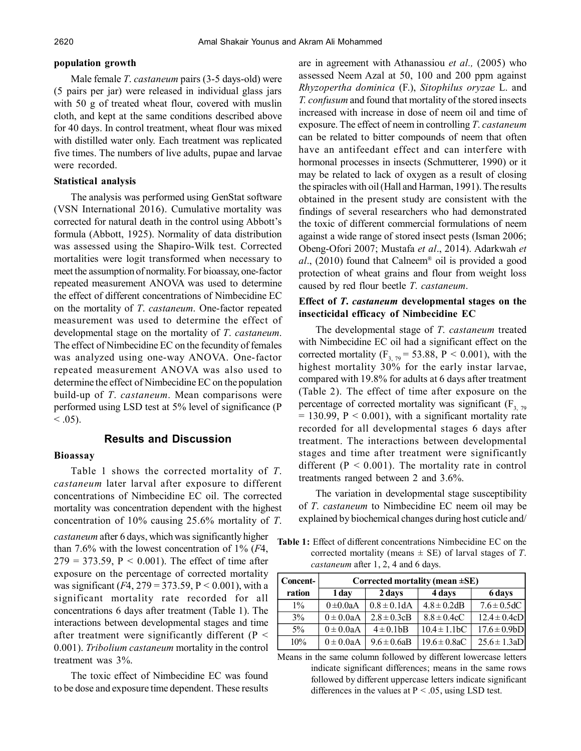#### **population growth**

Male female *T*. *castaneum* pairs (3-5 days-old) were (5 pairs per jar) were released in individual glass jars with 50 g of treated wheat flour, covered with muslin cloth, and kept at the same conditions described above for 40 days. In control treatment, wheat flour was mixed with distilled water only. Each treatment was replicated five times. The numbers of live adults, pupae and larvae were recorded.

#### **Statistical analysis**

The analysis was performed using GenStat software (VSN International 2016). Cumulative mortality was corrected for natural death in the control using Abbott's formula (Abbott, 1925). Normality of data distribution was assessed using the Shapiro-Wilk test. Corrected mortalities were logit transformed when necessary to meet the assumption of normality. For bioassay, one-factor repeated measurement ANOVA was used to determine the effect of different concentrations of Nimbecidine EC on the mortality of *T*. *castaneum*. One-factor repeated measurement was used to determine the effect of developmental stage on the mortality of *T*. *castaneum*. The effect of Nimbecidine EC on the fecundity of females was analyzed using one-way ANOVA. One-factor repeated measurement ANOVA was also used to determine the effect of Nimbecidine EC on the population build-up of *T*. *castaneum*. Mean comparisons were performed using LSD test at 5% level of significance (P  $< 0.05$ ).

# **Results and Discussion**

#### **Bioassay**

Table 1 shows the corrected mortality of *T*. *castaneum* later larval after exposure to different concentrations of Nimbecidine EC oil. The corrected mortality was concentration dependent with the highest concentration of 10% causing 25.6% mortality of *T*. *castaneum* after 6 days, which was significantly higher than 7.6% with the lowest concentration of 1% (*F*4,  $279 = 373.59$ ,  $P < 0.001$ ). The effect of time after exposure on the percentage of corrected mortality was significant (*F*4, 279 = 373.59, P *<* 0.001), with a significant mortality rate recorded for all concentrations 6 days after treatment (Table 1). The interactions between developmental stages and time after treatment were significantly different ( $P \le$ 0.001). *Tribolium castaneum* mortality in the control treatment was 3%.

The toxic effect of Nimbecidine EC was found to be dose and exposure time dependent. These results are in agreement with Athanassiou *et al.,* (2005) who assessed Neem Azal at 50, 100 and 200 ppm against *Rhyzopertha dominica* (F.), *Sitophilus oryzae* L. and *T. confusum* and found that mortality of the stored insects increased with increase in dose of neem oil and time of exposure. The effect of neem in controlling *T*. *castaneum* can be related to bitter compounds of neem that often have an antifeedant effect and can interfere with hormonal processes in insects (Schmutterer, 1990) or it may be related to lack of oxygen as a result of closing the spiracles with oil (Hall and Harman, 1991). The results obtained in the present study are consistent with the findings of several researchers who had demonstrated the toxic of different commercial formulations of neem against a wide range of stored insect pests (Isman 2006; Obeng-Ofori 2007; Mustafa *et al*., 2014). Adarkwah *et al*., (2010) found that Calneem® oil is provided a good protection of wheat grains and flour from weight loss caused by red flour beetle *T*. *castaneum*.

# **Effect of** *T***.** *castaneum* **developmental stages on the insecticidal efficacy of Nimbecidine EC**

The developmental stage of *T*. *castaneum* treated with Nimbecidine EC oil had a significant effect on the corrected mortality ( $F_{3, 79}$  = 53.88, P < 0.001), with the highest mortality 30% for the early instar larvae, compared with 19.8% for adults at 6 days after treatment (Table 2). The effect of time after exposure on the percentage of corrected mortality was significant  $(F_{3, 79})$  $= 130.99$ ,  $P < 0.001$ ), with a significant mortality rate recorded for all developmental stages 6 days after treatment. The interactions between developmental stages and time after treatment were significantly different ( $P < 0.001$ ). The mortality rate in control treatments ranged between 2 and 3.6%.

The variation in developmental stage susceptibility of *T*. *castaneum* to Nimbecidine EC neem oil may be explained by biochemical changes during host cuticle and/

**Table 1:** Effect of different concentrations Nimbecidine EC on the corrected mortality (means ± SE) of larval stages of *T*. *castaneum* after 1, 2, 4 and 6 days.

| Concent- | Corrected mortality (mean $\pm$ SE) |                  |                               |                   |  |
|----------|-------------------------------------|------------------|-------------------------------|-------------------|--|
| ration   | 1 day                               | 2 days           | 4 days                        | 6 days            |  |
| $1\%$    | $0 \pm 0.0aA$                       | $0.8 \pm 0.1$ dA | $4.8 \pm 0.2$ dB              | $7.6 \pm 0.5$ dC  |  |
| $3\%$    | $0 \pm 0.0$ aA                      | $2.8 \pm 0.3$ cB | $8.8 \pm 0.4cC$               | $12.4 \pm 0.4cD$  |  |
| $5\%$    | $0 \pm 0.0$ aA                      | $4 \pm 0.1$ bB   | $10.4 \pm 1.1$ <sub>b</sub> C | $17.6 \pm 0.9 bD$ |  |
| 10%      | $0 \pm 0.0$ aA                      | $9.6 \pm 0.6$ aB | $19.6 \pm 0.8$ aC             | $25.6 \pm 1.3aD$  |  |

Means in the same column followed by different lowercase letters indicate significant differences; means in the same rows followed by different uppercase letters indicate significant differences in the values at  $P < .05$ , using LSD test.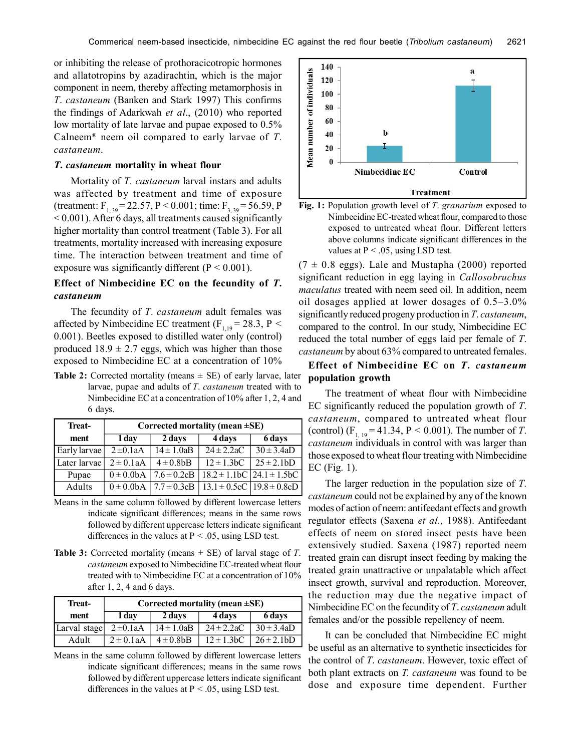or inhibiting the release of prothoracicotropic hormones and allatotropins by azadirachtin, which is the major component in neem, thereby affecting metamorphosis in *T*. *castaneum* (Banken and Stark 1997) This confirms the findings of Adarkwah *et al*., (2010) who reported low mortality of late larvae and pupae exposed to 0.5% Calneem® neem oil compared to early larvae of *T*. *castaneum*.

#### *T***.** *castaneum* **mortality in wheat flour**

Mortality of *T*. *castaneum* larval instars and adults was affected by treatment and time of exposure (treatment:  $F_{1,39} = 22.57$ , P < 0.001; time:  $F_{3,39} = 56.59$ , P < 0.001). After 6 days, all treatments caused significantly higher mortality than control treatment (Table 3). For all treatments, mortality increased with increasing exposure time. The interaction between treatment and time of exposure was significantly different  $(P < 0.001)$ .

# **Effect of Nimbecidine EC on the fecundity of** *T***.** *castaneum*

The fecundity of *T*. *castaneum* adult females was affected by Nimbecidine EC treatment ( $F_{1,19} = 28.3$ , P < 0.001). Beetles exposed to distilled water only (control) produced  $18.9 \pm 2.7$  eggs, which was higher than those exposed to Nimbecidine EC at a concentration of 10% **Effect of Nimbecidine EC on** *T***.** *castaneum*

**Table 2:** Corrected mortality (means  $\pm$  SE) of early larvae, later larvae, pupae and adults of *T*. *castaneum* treated with to Nimbecidine EC at a concentration of 10% after 1, 2, 4 and 6 days.

| Corrected mortality (mean $\pm$ SE)       |                           |                                            |                            |  |  |
|-------------------------------------------|---------------------------|--------------------------------------------|----------------------------|--|--|
| 1 day                                     | 2 days                    | 4 days                                     | 6 days                     |  |  |
| $2 \pm 0.1$ aA<br>Early larvae            | $14 \pm 1.0$ aB           |                                            | $30 \pm 3.4$ aD            |  |  |
| Later larvae<br>$\overline{2} \pm 0.1$ aA | $\overline{4} \pm 0.8$ bB | $\overline{12\pm 1.3}$ <sub>bC</sub>       | $25 \pm 2.1 bD$            |  |  |
| $0 \pm 0.0bA$                             | $7.6 \pm 0.2$ cB          | $18.2 \pm 1.1$ bC $\left  24.1 \pm 1.5$ bC |                            |  |  |
|                                           |                           | $13.1 \pm 0.5cC$   $19.8 \pm 0.8cD$        |                            |  |  |
|                                           |                           | $0 \pm 0.0$ bA   7.7 $\pm$ 0.3cB           | $\overline{24 \pm 2.2}$ aC |  |  |

- Means in the same column followed by different lowercase letters indicate significant differences; means in the same rows followed by different uppercase letters indicate significant differences in the values at  $P < .05$ , using LSD test.
- **Table 3:** Corrected mortality (means  $\pm$  SE) of larval stage of *T*. *castaneum* exposed to Nimbecidine EC-treated wheat flour treated with to Nimbecidine EC at a concentration of 10% after 1, 2, 4 and 6 days.

| Treat-       | Corrected mortality (mean $\pm$ SE) |                                 |                 |                    |  |
|--------------|-------------------------------------|---------------------------------|-----------------|--------------------|--|
| ment         | 1 day                               | 2 days                          | 4 days          | 6 days             |  |
| Larval stage | $2 \pm 0.1$ aA                      | $14 \pm 1.0$ aB                 | $24 \pm 2.2$ aC | $30 \pm 3.4$ aD    |  |
| Adult        |                                     | $2 \pm 0.1$ aA   $4 \pm 0.8$ bB | $12 \pm 1.3$ bC | $\vert$ 26 ± 2.1bD |  |

Means in the same column followed by different lowercase letters indicate significant differences; means in the same rows followed by different uppercase letters indicate significant differences in the values at  $P < .05$ , using LSD test.





 $(7 \pm 0.8 \text{ eggs})$ . Lale and Mustapha (2000) reported significant reduction in egg laying in *Callosobruchus maculatus* treated with neem seed oil. In addition, neem oil dosages applied at lower dosages of 0.5–3.0% significantly reduced progeny production in *T*. *castaneum*, compared to the control. In our study, Nimbecidine EC reduced the total number of eggs laid per female of *T*. *castaneum* by about 63% compared to untreated females.

# **population growth**

The treatment of wheat flour with Nimbecidine EC significantly reduced the population growth of *T*. *castaneum*, compared to untreated wheat flour (control)  $(F_{1, 19} = 41.34, P \le 0.001)$ . The number of *T*. *castaneum* individuals in control with was larger than those exposed to wheat flour treating with Nimbecidine EC (Fig. 1).

The larger reduction in the population size of *T*. *castaneum* could not be explained by any of the known modes of action of neem: antifeedant effects and growth regulator effects (Saxena *et al.,* 1988). Antifeedant effects of neem on stored insect pests have been extensively studied. Saxena (1987) reported neem treated grain can disrupt insect feeding by making the treated grain unattractive or unpalatable which affect insect growth, survival and reproduction. Moreover, the reduction may due the negative impact of Nimbecidine EC on the fecundity of *T*. *castaneum* adult females and/or the possible repellency of neem.

It can be concluded that Nimbecidine EC might be useful as an alternative to synthetic insecticides for the control of *T*. *castaneum*. However, toxic effect of both plant extracts on *T. castaneum* was found to be dose and exposure time dependent. Further